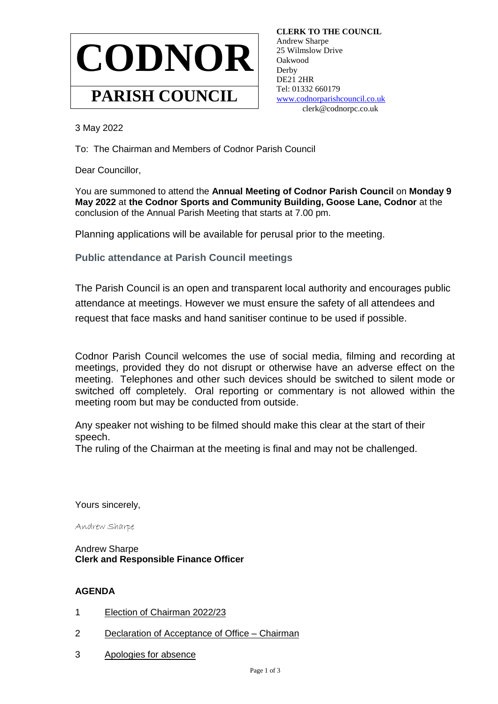

 **CLERK TO THE COUNCIL** Andrew Sharpe 25 Wilmslow Drive Oakwood **Derby**  DE21 2HR Tel: 01332 660179 [www.codnorparishcouncil.co.uk](http://www.codnorparishcouncil.co.uk/) clerk@codnorpc.co.uk

3 May 2022

To: The Chairman and Members of Codnor Parish Council

Dear Councillor,

You are summoned to attend the **Annual Meeting of Codnor Parish Council** on **Monday 9 May 2022** at **the Codnor Sports and Community Building, Goose Lane, Codnor** at the conclusion of the Annual Parish Meeting that starts at 7.00 pm.

Planning applications will be available for perusal prior to the meeting.

**Public attendance at Parish Council meetings**

The Parish Council is an open and transparent local authority and encourages public attendance at meetings. However we must ensure the safety of all attendees and request that face masks and hand sanitiser continue to be used if possible.

Codnor Parish Council welcomes the use of social media, filming and recording at meetings, provided they do not disrupt or otherwise have an adverse effect on the meeting. Telephones and other such devices should be switched to silent mode or switched off completely. Oral reporting or commentary is not allowed within the meeting room but may be conducted from outside.

Any speaker not wishing to be filmed should make this clear at the start of their speech.

The ruling of the Chairman at the meeting is final and may not be challenged.

Yours sincerely,

Andrew Sharpe

Andrew Sharpe **Clerk and Responsible Finance Officer**

## **AGENDA**

- 1 Election of Chairman 2022/23
- 2 Declaration of Acceptance of Office Chairman
- 3 Apologies for absence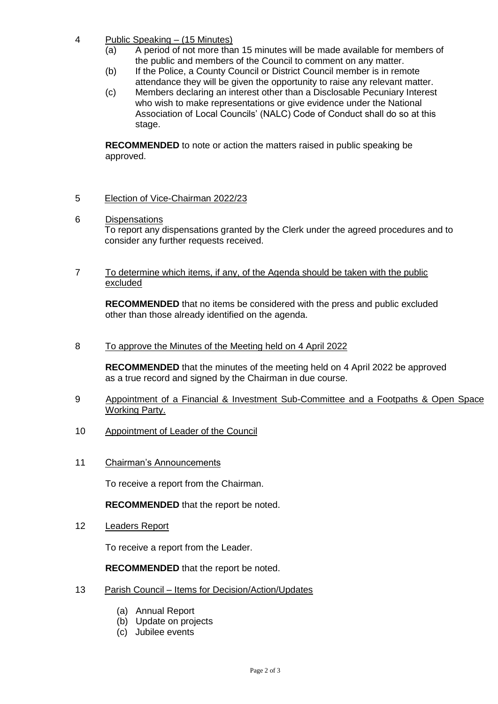- 4 Public Speaking (15 Minutes)
	- (a) A period of not more than 15 minutes will be made available for members of the public and members of the Council to comment on any matter.
	- (b) If the Police, a County Council or District Council member is in remote attendance they will be given the opportunity to raise any relevant matter.
	- (c) Members declaring an interest other than a Disclosable Pecuniary Interest who wish to make representations or give evidence under the National Association of Local Councils' (NALC) Code of Conduct shall do so at this stage.

**RECOMMENDED** to note or action the matters raised in public speaking be approved.

## 5 Election of Vice-Chairman 2022/23

6 Dispensations

To report any dispensations granted by the Clerk under the agreed procedures and to consider any further requests received.

7 To determine which items, if any, of the Agenda should be taken with the public excluded

**RECOMMENDED** that no items be considered with the press and public excluded other than those already identified on the agenda.

8 To approve the Minutes of the Meeting held on 4 April 2022

**RECOMMENDED** that the minutes of the meeting held on 4 April 2022 be approved as a true record and signed by the Chairman in due course.

- 9 Appointment of a Financial & Investment Sub-Committee and a Footpaths & Open Space Working Party.
- 10 Appointment of Leader of the Council
- 11 Chairman's Announcements

To receive a report from the Chairman.

**RECOMMENDED** that the report be noted.

12 Leaders Report

To receive a report from the Leader.

**RECOMMENDED** that the report be noted.

- 13 Parish Council Items for Decision/Action/Updates
	- (a) Annual Report
	- (b) Update on projects
	- (c) Jubilee events